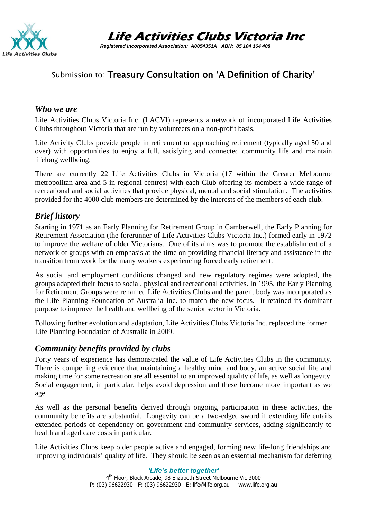

**Life Activities Clubs Victoria Inc**

 *Registered Incorporated Association: A0054351A ABN: 85 104 164 408*

## Submission to: Treasury Consultation on 'A Definition of Charity'

#### *Who we are*

Life Activities Clubs Victoria Inc. (LACVI) represents a network of incorporated Life Activities Clubs throughout Victoria that are run by volunteers on a non-profit basis.

Life Activity Clubs provide people in retirement or approaching retirement (typically aged 50 and over) with opportunities to enjoy a full, satisfying and connected community life and maintain lifelong wellbeing.

There are currently 22 Life Activities Clubs in Victoria (17 within the Greater Melbourne metropolitan area and 5 in regional centres) with each Club offering its members a wide range of recreational and social activities that provide physical, mental and social stimulation. The activities provided for the 4000 club members are determined by the interests of the members of each club.

#### *Brief history*

Starting in 1971 as an Early Planning for Retirement Group in Camberwell, the Early Planning for Retirement Association (the forerunner of Life Activities Clubs Victoria Inc.) formed early in 1972 to improve the welfare of older Victorians. One of its aims was to promote the establishment of a network of groups with an emphasis at the time on providing financial literacy and assistance in the transition from work for the many workers experiencing forced early retirement.

As social and employment conditions changed and new regulatory regimes were adopted, the groups adapted their focus to social, physical and recreational activities. In 1995, the Early Planning for Retirement Groups were renamed Life Activities Clubs and the parent body was incorporated as the Life Planning Foundation of Australia Inc. to match the new focus. It retained its dominant purpose to improve the health and wellbeing of the senior sector in Victoria.

Following further evolution and adaptation, Life Activities Clubs Victoria Inc. replaced the former Life Planning Foundation of Australia in 2009.

#### *Community benefits provided by clubs*

Forty years of experience has demonstrated the value of Life Activities Clubs in the community. There is compelling evidence that maintaining a healthy mind and body, an active social life and making time for some recreation are all essential to an improved quality of life, as well as longevity. Social engagement, in particular, helps avoid depression and these become more important as we age.

As well as the personal benefits derived through ongoing participation in these activities, the community benefits are substantial. Longevity can be a two-edged sword if extending life entails extended periods of dependency on government and community services, adding significantly to health and aged care costs in particular.

Life Activities Clubs keep older people active and engaged, forming new life-long friendships and improving individuals' quality of life. They should be seen as an essential mechanism for deferring

> *'Life's better together'* 4<sup>th</sup> Floor, Block Arcade, 98 Elizabeth Street Melbourne Vic 3000 P: (03) 96622930 F: (03) 96622930 E: life@life.org.au www.life.org.au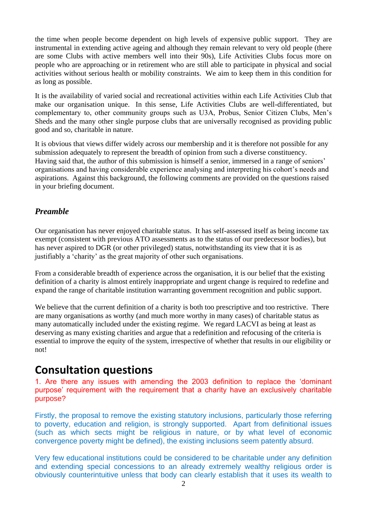the time when people become dependent on high levels of expensive public support. They are instrumental in extending active ageing and although they remain relevant to very old people (there are some Clubs with active members well into their 90s), Life Activities Clubs focus more on people who are approaching or in retirement who are still able to participate in physical and social activities without serious health or mobility constraints. We aim to keep them in this condition for as long as possible.

It is the availability of varied social and recreational activities within each Life Activities Club that make our organisation unique. In this sense, Life Activities Clubs are well-differentiated, but complementary to, other community groups such as U3A, Probus, Senior Citizen Clubs, Men's Sheds and the many other single purpose clubs that are universally recognised as providing public good and so, charitable in nature.

It is obvious that views differ widely across our membership and it is therefore not possible for any submission adequately to represent the breadth of opinion from such a diverse constituency. Having said that, the author of this submission is himself a senior, immersed in a range of seniors' organisations and having considerable experience analysing and interpreting his cohort's needs and aspirations. Against this background, the following comments are provided on the questions raised in your briefing document.

### *Preamble*

Our organisation has never enjoyed charitable status. It has self-assessed itself as being income tax exempt (consistent with previous ATO assessments as to the status of our predecessor bodies), but has never aspired to DGR (or other privileged) status, notwithstanding its view that it is as justifiably a 'charity' as the great majority of other such organisations.

From a considerable breadth of experience across the organisation, it is our belief that the existing definition of a charity is almost entirely inappropriate and urgent change is required to redefine and expand the range of charitable institution warranting government recognition and public support.

We believe that the current definition of a charity is both too prescriptive and too restrictive. There are many organisations as worthy (and much more worthy in many cases) of charitable status as many automatically included under the existing regime. We regard LACVI as being at least as deserving as many existing charities and argue that a redefinition and refocusing of the criteria is essential to improve the equity of the system, irrespective of whether that results in our eligibility or not!

# **Consultation questions**

1. Are there any issues with amending the 2003 definition to replace the 'dominant purpose' requirement with the requirement that a charity have an exclusively charitable purpose?

Firstly, the proposal to remove the existing statutory inclusions, particularly those referring to poverty, education and religion, is strongly supported. Apart from definitional issues (such as which sects might be religious in nature, or by what level of economic convergence poverty might be defined), the existing inclusions seem patently absurd.

Very few educational institutions could be considered to be charitable under any definition and extending special concessions to an already extremely wealthy religious order is obviously counterintuitive unless that body can clearly establish that it uses its wealth to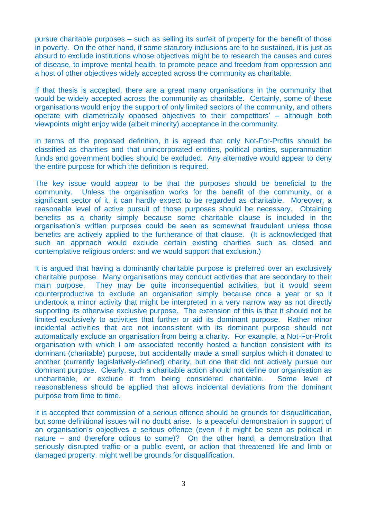pursue charitable purposes – such as selling its surfeit of property for the benefit of those in poverty. On the other hand, if some statutory inclusions are to be sustained, it is just as absurd to exclude institutions whose objectives might be to research the causes and cures of disease, to improve mental health, to promote peace and freedom from oppression and a host of other objectives widely accepted across the community as charitable.

If that thesis is accepted, there are a great many organisations in the community that would be widely accepted across the community as charitable. Certainly, some of these organisations would enjoy the support of only limited sectors of the community, and others operate with diametrically opposed objectives to their competitors' – although both viewpoints might enjoy wide (albeit minority) acceptance in the community.

In terms of the proposed definition, it is agreed that only Not-For-Profits should be classified as charities and that unincorporated entities, political parties, superannuation funds and government bodies should be excluded. Any alternative would appear to deny the entire purpose for which the definition is required.

The key issue would appear to be that the purposes should be beneficial to the community. Unless the organisation works for the benefit of the community, or a significant sector of it, it can hardly expect to be regarded as charitable. Moreover, a reasonable level of active pursuit of those purposes should be necessary. Obtaining benefits as a charity simply because some charitable clause is included in the organisation's written purposes could be seen as somewhat fraudulent unless those benefits are actively applied to the furtherance of that clause. (It is acknowledged that such an approach would exclude certain existing charities such as closed and contemplative religious orders: and we would support that exclusion.)

It is argued that having a dominantly charitable purpose is preferred over an exclusively charitable purpose. Many organisations may conduct activities that are secondary to their main purpose. They may be quite inconsequential activities, but it would seem counterproductive to exclude an organisation simply because once a year or so it undertook a minor activity that might be interpreted in a very narrow way as not directly supporting its otherwise exclusive purpose. The extension of this is that it should not be limited exclusively to activities that further or aid its dominant purpose. Rather minor incidental activities that are not inconsistent with its dominant purpose should not automatically exclude an organisation from being a charity. For example, a Not-For-Profit organisation with which I am associated recently hosted a function consistent with its dominant (charitable) purpose, but accidentally made a small surplus which it donated to another (currently legislatively-defined) charity, but one that did not actively pursue our dominant purpose. Clearly, such a charitable action should not define our organisation as uncharitable, or exclude it from being considered charitable. Some level of reasonableness should be applied that allows incidental deviations from the dominant purpose from time to time.

It is accepted that commission of a serious offence should be grounds for disqualification, but some definitional issues will no doubt arise. Is a peaceful demonstration in support of an organisation's objectives a serious offence (even if it might be seen as political in nature – and therefore odious to some)? On the other hand, a demonstration that seriously disrupted traffic or a public event, or action that threatened life and limb or damaged property, might well be grounds for disqualification.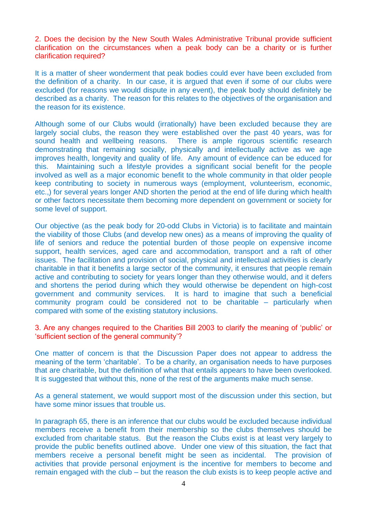2. Does the decision by the New South Wales Administrative Tribunal provide sufficient clarification on the circumstances when a peak body can be a charity or is further clarification required?

It is a matter of sheer wonderment that peak bodies could ever have been excluded from the definition of a charity. In our case, it is argued that even if some of our clubs were excluded (for reasons we would dispute in any event), the peak body should definitely be described as a charity. The reason for this relates to the objectives of the organisation and the reason for its existence.

Although some of our Clubs would (irrationally) have been excluded because they are largely social clubs, the reason they were established over the past 40 years, was for sound health and wellbeing reasons. There is ample rigorous scientific research demonstrating that remaining socially, physically and intellectually active as we age improves health, longevity and quality of life. Any amount of evidence can be educed for this. Maintaining such a lifestyle provides a significant social benefit for the people involved as well as a major economic benefit to the whole community in that older people keep contributing to society in numerous ways (employment, volunteerism, economic, etc.,) for several years longer AND shorten the period at the end of life during which health or other factors necessitate them becoming more dependent on government or society for some level of support.

Our objective (as the peak body for 20-odd Clubs in Victoria) is to facilitate and maintain the viability of those Clubs (and develop new ones) as a means of improving the quality of life of seniors and reduce the potential burden of those people on expensive income support, health services, aged care and accommodation, transport and a raft of other issues. The facilitation and provision of social, physical and intellectual activities is clearly charitable in that it benefits a large sector of the community, it ensures that people remain active and contributing to society for years longer than they otherwise would, and it defers and shortens the period during which they would otherwise be dependent on high-cost government and community services. It is hard to imagine that such a beneficial community program could be considered not to be charitable – particularly when compared with some of the existing statutory inclusions.

3. Are any changes required to the Charities Bill 2003 to clarify the meaning of 'public' or 'sufficient section of the general community'?

One matter of concern is that the Discussion Paper does not appear to address the meaning of the term 'charitable'. To be a charity, an organisation needs to have purposes that are charitable, but the definition of what that entails appears to have been overlooked. It is suggested that without this, none of the rest of the arguments make much sense.

As a general statement, we would support most of the discussion under this section, but have some minor issues that trouble us.

In paragraph 65, there is an inference that our clubs would be excluded because individual members receive a benefit from their membership so the clubs themselves should be excluded from charitable status. But the reason the Clubs exist is at least very largely to provide the public benefits outlined above. Under one view of this situation, the fact that members receive a personal benefit might be seen as incidental. The provision of activities that provide personal enjoyment is the incentive for members to become and remain engaged with the club – but the reason the club exists is to keep people active and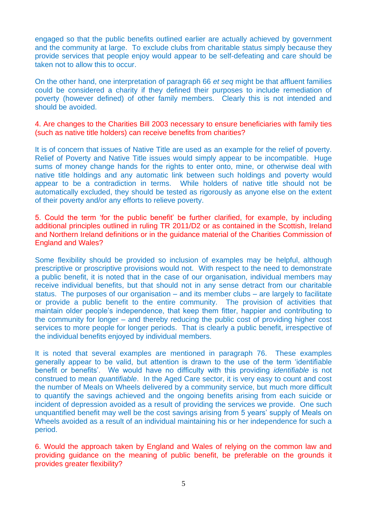engaged so that the public benefits outlined earlier are actually achieved by government and the community at large. To exclude clubs from charitable status simply because they provide services that people enjoy would appear to be self-defeating and care should be taken not to allow this to occur.

On the other hand, one interpretation of paragraph 66 *et seq* might be that affluent families could be considered a charity if they defined their purposes to include remediation of poverty (however defined) of other family members. Clearly this is not intended and should be avoided.

4. Are changes to the Charities Bill 2003 necessary to ensure beneficiaries with family ties (such as native title holders) can receive benefits from charities?

It is of concern that issues of Native Title are used as an example for the relief of poverty. Relief of Poverty and Native Title issues would simply appear to be incompatible. Huge sums of money change hands for the rights to enter onto, mine, or otherwise deal with native title holdings and any automatic link between such holdings and poverty would appear to be a contradiction in terms. While holders of native title should not be automatically excluded, they should be tested as rigorously as anyone else on the extent of their poverty and/or any efforts to relieve poverty.

5. Could the term 'for the public benefit' be further clarified, for example, by including additional principles outlined in ruling TR 2011/D2 or as contained in the Scottish, Ireland and Northern Ireland definitions or in the guidance material of the Charities Commission of England and Wales?

Some flexibility should be provided so inclusion of examples may be helpful, although prescriptive or proscriptive provisions would not. With respect to the need to demonstrate a public benefit, it is noted that in the case of our organisation, individual members may receive individual benefits, but that should not in any sense detract from our charitable status. The purposes of our organisation – and its member clubs – are largely to facilitate or provide a public benefit to the entire community. The provision of activities that maintain older people's independence, that keep them fitter, happier and contributing to the community for longer – and thereby reducing the public cost of providing higher cost services to more people for longer periods. That is clearly a public benefit, irrespective of the individual benefits enjoyed by individual members.

It is noted that several examples are mentioned in paragraph 76. These examples generally appear to be valid, but attention is drawn to the use of the term 'identifiable benefit or benefits'. We would have no difficulty with this providing *identifiable* is not construed to mean *quantifiable*. In the Aged Care sector, it is very easy to count and cost the number of Meals on Wheels delivered by a community service, but much more difficult to quantify the savings achieved and the ongoing benefits arising from each suicide or incident of depression avoided as a result of providing the services we provide. One such unquantified benefit may well be the cost savings arising from 5 years' supply of Meals on Wheels avoided as a result of an individual maintaining his or her independence for such a period.

6. Would the approach taken by England and Wales of relying on the common law and providing guidance on the meaning of public benefit, be preferable on the grounds it provides greater flexibility?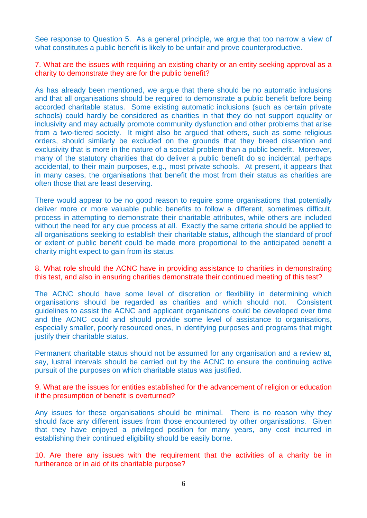See response to Question 5. As a general principle, we argue that too narrow a view of what constitutes a public benefit is likely to be unfair and prove counterproductive.

7. What are the issues with requiring an existing charity or an entity seeking approval as a charity to demonstrate they are for the public benefit?

As has already been mentioned, we argue that there should be no automatic inclusions and that all organisations should be required to demonstrate a public benefit before being accorded charitable status. Some existing automatic inclusions (such as certain private schools) could hardly be considered as charities in that they do not support equality or inclusivity and may actually promote community dysfunction and other problems that arise from a two-tiered society. It might also be argued that others, such as some religious orders, should similarly be excluded on the grounds that they breed dissention and exclusivity that is more in the nature of a societal problem than a public benefit. Moreover, many of the statutory charities that do deliver a public benefit do so incidental, perhaps accidental, to their main purposes, e.g., most private schools. At present, it appears that in many cases, the organisations that benefit the most from their status as charities are often those that are least deserving.

There would appear to be no good reason to require some organisations that potentially deliver more or more valuable public benefits to follow a different, sometimes difficult, process in attempting to demonstrate their charitable attributes, while others are included without the need for any due process at all. Exactly the same criteria should be applied to all organisations seeking to establish their charitable status, although the standard of proof or extent of public benefit could be made more proportional to the anticipated benefit a charity might expect to gain from its status.

8. What role should the ACNC have in providing assistance to charities in demonstrating this test, and also in ensuring charities demonstrate their continued meeting of this test?

The ACNC should have some level of discretion or flexibility in determining which organisations should be regarded as charities and which should not. Consistent guidelines to assist the ACNC and applicant organisations could be developed over time and the ACNC could and should provide some level of assistance to organisations, especially smaller, poorly resourced ones, in identifying purposes and programs that might justify their charitable status.

Permanent charitable status should not be assumed for any organisation and a review at, say, lustral intervals should be carried out by the ACNC to ensure the continuing active pursuit of the purposes on which charitable status was justified.

9. What are the issues for entities established for the advancement of religion or education if the presumption of benefit is overturned?

Any issues for these organisations should be minimal. There is no reason why they should face any different issues from those encountered by other organisations. Given that they have enjoyed a privileged position for many years, any cost incurred in establishing their continued eligibility should be easily borne.

10. Are there any issues with the requirement that the activities of a charity be in furtherance or in aid of its charitable purpose?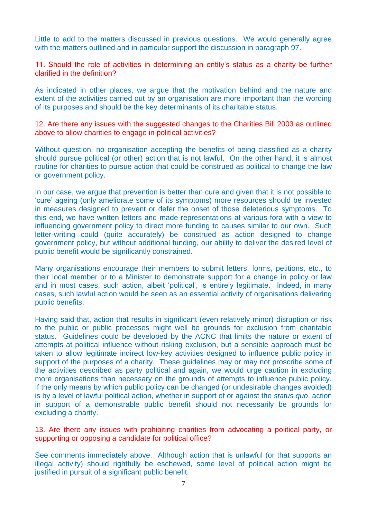Little to add to the matters discussed in previous questions. We would generally agree with the matters outlined and in particular support the discussion in paragraph 97.

11. Should the role of activities in determining an entity's status as a charity be further clarified in the definition?

As indicated in other places, we argue that the motivation behind and the nature and extent of the activities carried out by an organisation are more important than the wording of its purposes and should be the key determinants of its charitable status.

12. Are there any issues with the suggested changes to the Charities Bill 2003 as outlined above to allow charities to engage in political activities?

Without question, no organisation accepting the benefits of being classified as a charity should pursue political (or other) action that is not lawful. On the other hand, it is almost routine for charities to pursue action that could be construed as political to change the law or government policy.

In our case, we argue that prevention is better than cure and given that it is not possible to 'cure' ageing (only ameliorate some of its symptoms) more resources should be invested in measures designed to prevent or defer the onset of those deleterious symptoms. To this end, we have written letters and made representations at various fora with a view to influencing government policy to direct more funding to causes similar to our own. Such letter-writing could (quite accurately) be construed as action designed to change government policy, but without additional funding, our ability to deliver the desired level of public benefit would be significantly constrained.

Many organisations encourage their members to submit letters, forms, petitions, etc., to their local member or to a Minister to demonstrate support for a change in policy or law and in most cases, such action, albeit 'political', is entirely legitimate. Indeed, in many cases, such lawful action would be seen as an essential activity of organisations delivering public benefits.

Having said that, action that results in significant (even relatively minor) disruption or risk to the public or public processes might well be grounds for exclusion from charitable status. Guidelines could be developed by the ACNC that limits the nature or extent of attempts at political influence without risking exclusion, but a sensible approach must be taken to allow legitimate indirect low-key activities designed to influence public policy in support of the purposes of a charity. These guidelines may or may not proscribe some of the activities described as party political and again, we would urge caution in excluding more organisations than necessary on the grounds of attempts to influence public policy. If the only means by which public policy can be changed (or undesirable changes avoided) is by a level of lawful political action, whether in support of or against the *status quo*, action in support of a demonstrable public benefit should not necessarily be grounds for excluding a charity.

13. Are there any issues with prohibiting charities from advocating a political party, or supporting or opposing a candidate for political office?

See comments immediately above. Although action that is unlawful (or that supports an illegal activity) should rightfully be eschewed, some level of political action might be justified in pursuit of a significant public benefit.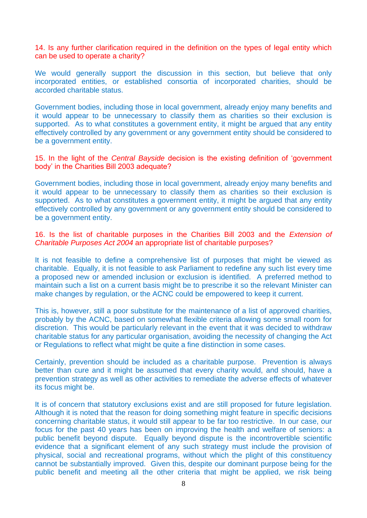14. Is any further clarification required in the definition on the types of legal entity which can be used to operate a charity?

We would generally support the discussion in this section, but believe that only incorporated entities, or established consortia of incorporated charities, should be accorded charitable status.

Government bodies, including those in local government, already enjoy many benefits and it would appear to be unnecessary to classify them as charities so their exclusion is supported. As to what constitutes a government entity, it might be argued that any entity effectively controlled by any government or any government entity should be considered to be a government entity.

15. In the light of the *Central Bayside* decision is the existing definition of 'government body' in the Charities Bill 2003 adequate?

Government bodies, including those in local government, already enjoy many benefits and it would appear to be unnecessary to classify them as charities so their exclusion is supported. As to what constitutes a government entity, it might be argued that any entity effectively controlled by any government or any government entity should be considered to be a government entity.

16. Is the list of charitable purposes in the Charities Bill 2003 and the *Extension of Charitable Purposes Act 2004* an appropriate list of charitable purposes?

It is not feasible to define a comprehensive list of purposes that might be viewed as charitable. Equally, it is not feasible to ask Parliament to redefine any such list every time a proposed new or amended inclusion or exclusion is identified. A preferred method to maintain such a list on a current basis might be to prescribe it so the relevant Minister can make changes by regulation, or the ACNC could be empowered to keep it current.

This is, however, still a poor substitute for the maintenance of a list of approved charities, probably by the ACNC, based on somewhat flexible criteria allowing some small room for discretion. This would be particularly relevant in the event that it was decided to withdraw charitable status for any particular organisation, avoiding the necessity of changing the Act or Regulations to reflect what might be quite a fine distinction in some cases.

Certainly, prevention should be included as a charitable purpose. Prevention is always better than cure and it might be assumed that every charity would, and should, have a prevention strategy as well as other activities to remediate the adverse effects of whatever its focus might be.

It is of concern that statutory exclusions exist and are still proposed for future legislation. Although it is noted that the reason for doing something might feature in specific decisions concerning charitable status, it would still appear to be far too restrictive. In our case, our focus for the past 40 years has been on improving the health and welfare of seniors: a public benefit beyond dispute. Equally beyond dispute is the incontrovertible scientific evidence that a significant element of any such strategy must include the provision of physical, social and recreational programs, without which the plight of this constituency cannot be substantially improved. Given this, despite our dominant purpose being for the public benefit and meeting all the other criteria that might be applied, we risk being